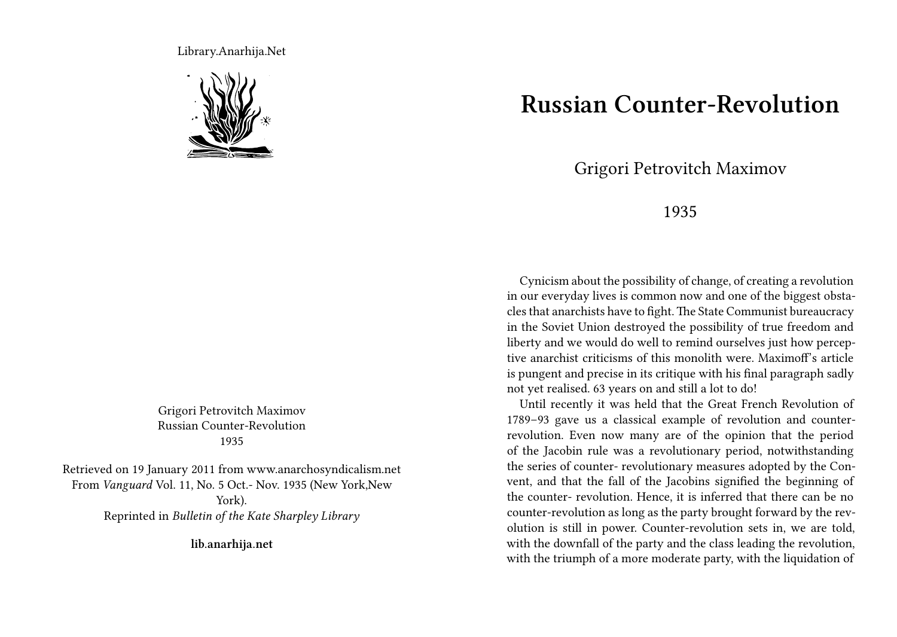Library.Anarhija.Net



Grigori Petrovitch Maximov Russian Counter-Revolution 1935

Retrieved on 19 January 2011 from www.anarchosyndicalism.net From *Vanguard* Vol. 11, No. 5 Oct.- Nov. 1935 (New York,New York). Reprinted in *Bulletin of the Kate Sharpley Library*

**lib.anarhija.net**

## **Russian Counter-Revolution**

## Grigori Petrovitch Maximov

## 1935

Cynicism about the possibility of change, of creating a revolution in our everyday lives is common now and one of the biggest obstacles that anarchists have to fight. The State Communist bureaucracy in the Soviet Union destroyed the possibility of true freedom and liberty and we would do well to remind ourselves just how perceptive anarchist criticisms of this monolith were. Maximoff's article is pungent and precise in its critique with his final paragraph sadly not yet realised. 63 years on and still a lot to do!

Until recently it was held that the Great French Revolution of 1789–93 gave us a classical example of revolution and counterrevolution. Even now many are of the opinion that the period of the Jacobin rule was a revolutionary period, notwithstanding the series of counter- revolutionary measures adopted by the Convent, and that the fall of the Jacobins signified the beginning of the counter- revolution. Hence, it is inferred that there can be no counter-revolution as long as the party brought forward by the revolution is still in power. Counter-revolution sets in, we are told, with the downfall of the party and the class leading the revolution, with the triumph of a more moderate party, with the liquidation of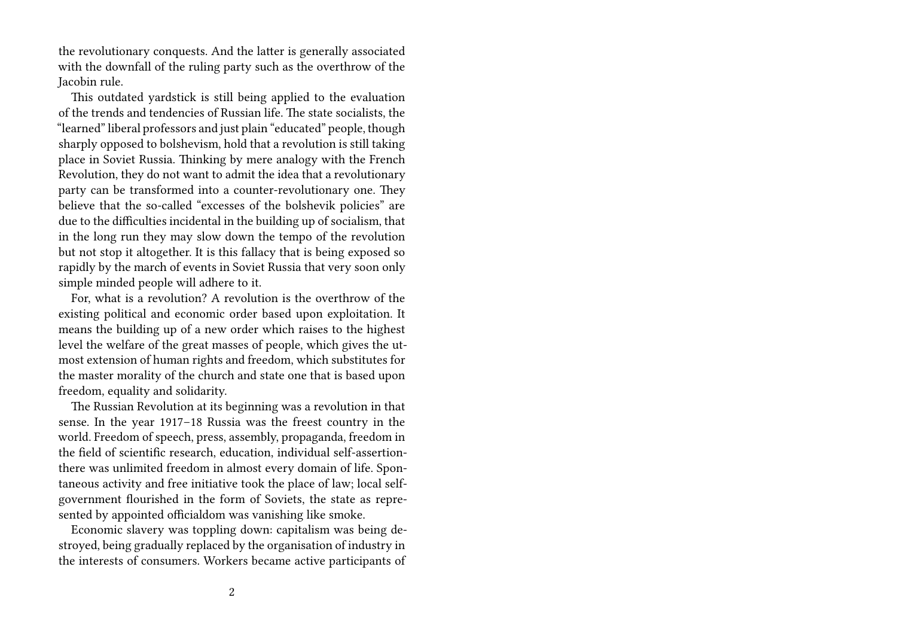the revolutionary conquests. And the latter is generally associated with the downfall of the ruling party such as the overthrow of the Jacobin rule.

This outdated yardstick is still being applied to the evaluation of the trends and tendencies of Russian life. The state socialists, the "learned" liberal professors and just plain "educated" people, though sharply opposed to bolshevism, hold that a revolution is still taking place in Soviet Russia. Thinking by mere analogy with the French Revolution, they do not want to admit the idea that a revolutionary party can be transformed into a counter-revolutionary one. They believe that the so-called "excesses of the bolshevik policies" are due to the difficulties incidental in the building up of socialism, that in the long run they may slow down the tempo of the revolution but not stop it altogether. It is this fallacy that is being exposed so rapidly by the march of events in Soviet Russia that very soon only simple minded people will adhere to it.

For, what is a revolution? A revolution is the overthrow of the existing political and economic order based upon exploitation. It means the building up of a new order which raises to the highest level the welfare of the great masses of people, which gives the utmost extension of human rights and freedom, which substitutes for the master morality of the church and state one that is based upon freedom, equality and solidarity.

The Russian Revolution at its beginning was a revolution in that sense. In the year 1917–18 Russia was the freest country in the world. Freedom of speech, press, assembly, propaganda, freedom in the field of scientific research, education, individual self-assertionthere was unlimited freedom in almost every domain of life. Spontaneous activity and free initiative took the place of law; local selfgovernment flourished in the form of Soviets, the state as represented by appointed officialdom was vanishing like smoke.

Economic slavery was toppling down: capitalism was being destroyed, being gradually replaced by the organisation of industry in the interests of consumers. Workers became active participants of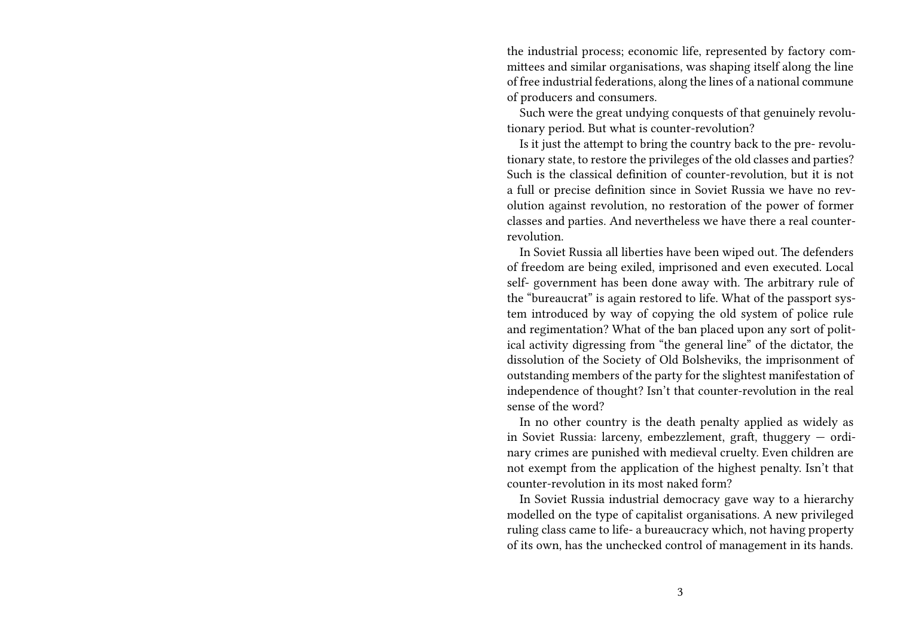the industrial process; economic life, represented by factory committees and similar organisations, was shaping itself along the line of free industrial federations, along the lines of a national commune of producers and consumers.

Such were the great undying conquests of that genuinely revolutionary period. But what is counter-revolution?

Is it just the attempt to bring the country back to the pre- revolutionary state, to restore the privileges of the old classes and parties? Such is the classical definition of counter-revolution, but it is not a full or precise definition since in Soviet Russia we have no revolution against revolution, no restoration of the power of former classes and parties. And nevertheless we have there a real counterrevolution.

In Soviet Russia all liberties have been wiped out. The defenders of freedom are being exiled, imprisoned and even executed. Local self- government has been done away with. The arbitrary rule of the "bureaucrat" is again restored to life. What of the passport system introduced by way of copying the old system of police rule and regimentation? What of the ban placed upon any sort of political activity digressing from "the general line" of the dictator, the dissolution of the Society of Old Bolsheviks, the imprisonment of outstanding members of the party for the slightest manifestation of independence of thought? Isn't that counter-revolution in the real sense of the word?

In no other country is the death penalty applied as widely as in Soviet Russia: larceny, embezzlement, graft, thuggery — ordinary crimes are punished with medieval cruelty. Even children are not exempt from the application of the highest penalty. Isn't that counter-revolution in its most naked form?

In Soviet Russia industrial democracy gave way to a hierarchy modelled on the type of capitalist organisations. A new privileged ruling class came to life- a bureaucracy which, not having property of its own, has the unchecked control of management in its hands.